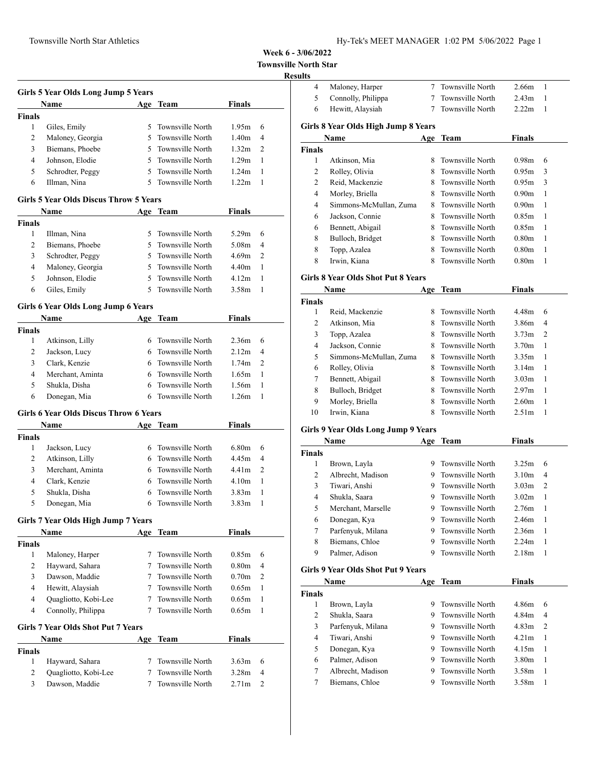| Hy-Tek's MEET MANAGER 1:02 PM 5/06/2022 Page 1 |  |  |  |
|------------------------------------------------|--|--|--|
|------------------------------------------------|--|--|--|

**Townsville North Star**

#### **Results**

|               | Name             | Age | Team               | <b>Finals</b>     |                |
|---------------|------------------|-----|--------------------|-------------------|----------------|
| <b>Finals</b> |                  |     |                    |                   |                |
|               | Giles, Emily     | 5.  | Townsville North   | 1.95m             | 6              |
| 2             | Maloney, Georgia |     | 5 Townsville North | 1.40 <sub>m</sub> | $\overline{4}$ |
| 3             | Biemans, Phoebe  |     | 5 Townsville North | 1.32m             | 2              |
| 4             | Johnson, Elodie  |     | 5 Townsville North | 1.29m             | 1              |
| 5             | Schrodter, Peggy |     | 5 Townsville North | 1.24m             | 1              |
| 6             | Illman, Nina     |     | 5 Townsville North | 1.22 <sub>m</sub> |                |

## **Girls 5 Year Olds Discus Throw 5 Years**

|               | <b>Name</b>      |    | Age Team           | <b>Finals</b> |                |
|---------------|------------------|----|--------------------|---------------|----------------|
| <b>Finals</b> |                  |    |                    |               |                |
|               | Illman, Nina     |    | 5 Townsville North | 5.29m         | 6              |
| 2             | Biemans, Phoebe  |    | 5 Townsville North | 5.08m         | $\overline{4}$ |
| 3             | Schrodter, Peggy |    | 5 Townsville North | 4.69m         | $\mathcal{D}$  |
| 4             | Maloney, Georgia | 5. | Townsville North   | 4.40m         |                |
| 5             | Johnson, Elodie  | 5. | Townsville North   | 4.12m         |                |
| 6             | Giles, Emily     | 5. | - Townsville North | 3.58m         |                |

## **Girls 6 Year Olds Long Jump 6 Years**

|        | <b>Name</b>      |    | Age Team           | <b>Finals</b>     |                |
|--------|------------------|----|--------------------|-------------------|----------------|
| Finals |                  |    |                    |                   |                |
|        | Atkinson, Lilly  | 6. | Townsville North   | 2.36m             | 6              |
|        | Jackson, Lucy    |    | 6 Townsville North | 2.12 <sub>m</sub> | $\overline{4}$ |
|        | Clark, Kenzie    |    | 6 Townsville North | 1.74m             | 2              |
| 4      | Merchant, Aminta |    | 6 Townsville North | 1.65m             |                |
|        | Shukla, Disha    | 6. | Townsville North   | 1.56m             |                |
| 6      | Donegan, Mia     |    | Townsville North   | 1.26m             |                |

#### **Girls 6 Year Olds Discus Throw 6 Years**

|        | <b>Name</b>      | Age Team           | <b>Finals</b>     |                |
|--------|------------------|--------------------|-------------------|----------------|
| Finals |                  |                    |                   |                |
|        | Jackson, Lucy    | 6 Townsville North | 6.80m             | 6              |
|        | Atkinson, Lilly  | 6 Townsville North | 4.45m             | $\overline{4}$ |
|        | Merchant, Aminta | 6 Townsville North | 4.41m             | $\mathcal{D}$  |
| 4      | Clark, Kenzie    | 6 Townsville North | 4.10 <sub>m</sub> |                |
|        | Shukla, Disha    | Townsville North   | 3.83m             |                |
|        | Donegan, Mia     | Townsville North   | 3.83m             |                |

#### **Girls 7 Year Olds High Jump 7 Years**

|                | <b>Name</b>                        | Age | Team             | <b>Finals</b>     |               |  |
|----------------|------------------------------------|-----|------------------|-------------------|---------------|--|
| Finals         |                                    |     |                  |                   |               |  |
| 1              | Maloney, Harper                    |     | Townsville North | 0.85m             | 6             |  |
| $\overline{2}$ | Hayward, Sahara                    |     | Townsville North | 0.80 <sub>m</sub> | 4             |  |
| 3              | Dawson, Maddie                     |     | Townsville North | 0.70 <sub>m</sub> | $\mathcal{L}$ |  |
| 4              | Hewitt, Alaysiah                   |     | Townsville North | 0.65m             | 1             |  |
| 4              | Quagliotto, Kobi-Lee               |     | Townsville North | 0.65m             | 1             |  |
| 4              | Connolly, Philippa                 |     | Townsville North | 0.65m             | 1             |  |
|                | Girls 7 Year Olds Shot Put 7 Years |     |                  |                   |               |  |
|                | <b>Name</b>                        | Age | <b>Team</b>      | <b>Finals</b>     |               |  |
| Finals         |                                    |     |                  |                   |               |  |
| 1              | Hayward, Sahara                    |     | Townsville North | 3.63m             | 6             |  |
| 2              | Quagliotto, Kobi-Lee               |     | Townsville North | 3.28m             | 4             |  |
| 3              | Dawson, Maddie                     |     | Townsville North | 2.71 <sub>m</sub> | $\mathcal{L}$ |  |
|                |                                    |     |                  |                   |               |  |

| <b>Finals</b> | Atkinson. Mia                       |    | 8 Townsville North | 0.98m         | h |  |
|---------------|-------------------------------------|----|--------------------|---------------|---|--|
|               | Name                                |    | Age Team           | <b>Finals</b> |   |  |
|               | Girls 8 Year Olds High Jump 8 Years |    |                    |               |   |  |
| 6             | Hewitt, Alaysiah                    |    | Townsville North   | 2.22m         |   |  |
| 5             | Connolly, Philippa                  |    | Townsville North   | 2.43m         |   |  |
| 4             | Maloney, Harper                     | 7. | Townsville North   | 2.66m         |   |  |

|                | Димпэрль типа          | $\cdots$ | TOMITO VIIIO TAOTUI | v.                | $\mathbf{v}$ |  |
|----------------|------------------------|----------|---------------------|-------------------|--------------|--|
| $\overline{c}$ | Rolley, Olivia         |          | 8 Townsville North  | 0.95m             | 3            |  |
| 2              | Reid, Mackenzie        |          | 8 Townsville North  | 0.95m             | 3            |  |
| 4              | Morley, Briella        |          | 8 Townsville North  | 0.90 <sub>m</sub> | -1           |  |
| 4              | Simmons-McMullan, Zuma |          | 8 Townsville North  | 0.90 <sub>m</sub> | -1           |  |
| 6              | Jackson, Connie        |          | 8 Townsville North  | 0.85 <sub>m</sub> | -1           |  |
| 6              | Bennett, Abigail       |          | 8 Townsville North  | 0.85 <sub>m</sub> | -1           |  |
| 8              | Bulloch, Bridget       | 8.       | Townsville North    | 0.80 <sub>m</sub> | 1            |  |
| 8              | Topp, Azalea           |          | 8 Townsville North  | 0.80 <sub>m</sub> | 1            |  |
| 8              | Irwin, Kiana           | 8        | Townsville North    | 0.80 <sub>m</sub> |              |  |

### **Girls 8 Year Olds Shot Put 8 Years**

|               | Name                   | Age | Team             | Finals            |                |
|---------------|------------------------|-----|------------------|-------------------|----------------|
| <b>Finals</b> |                        |     |                  |                   |                |
| 1             | Reid, Mackenzie        | 8.  | Townsville North | 4.48m             | 6              |
| 2             | Atkinson, Mia          | 8.  | Townsville North | 3.86m             | 4              |
| 3             | Topp, Azalea           | 8.  | Townsville North | 3.73m             | $\overline{2}$ |
| 4             | Jackson, Connie        | 8.  | Townsville North | 3.70m             | 1              |
| 5             | Simmons-McMullan, Zuma | 8   | Townsville North | 3.35m             | 1              |
| 6             | Rolley, Olivia         | 8   | Townsville North | 3.14m             | 1              |
| 7             | Bennett, Abigail       | 8   | Townsville North | 3.03 <sub>m</sub> | 1              |
| 8             | Bulloch, Bridget       | 8   | Townsville North | 2.97 <sub>m</sub> | 1              |
| 9             | Morley, Briella        | 8   | Townsville North | 2.60m             | 1              |
| 10            | Irwin, Kiana           |     | Townsville North | 2.51m             | 1              |

## **Girls 9 Year Olds Long Jump 9 Years**

|               | Name               | Age | Team               | Finals            |    |
|---------------|--------------------|-----|--------------------|-------------------|----|
| <b>Finals</b> |                    |     |                    |                   |    |
| 1             | Brown, Layla       | 9   | Townsville North   | 3.25m             | 6  |
| 2             | Albrecht, Madison  | 9.  | Townsville North   | 3.10 <sub>m</sub> | 4  |
| 3             | Tiwari, Anshi      | 9   | Townsville North   | 3.03 <sub>m</sub> | 2  |
| 4             | Shukla, Saara      |     | 9 Townsville North | 3.02 <sub>m</sub> | -1 |
| 5             | Merchant, Marselle | 9   | Townsville North   | 2.76m             | -1 |
| 6             | Donegan, Kya       | 9.  | Townsville North   | 2.46m             | -1 |
| 7             | Parfenyuk, Milana  | 9   | Townsville North   | 2.36m             | -1 |
| 8             | Biemans, Chloe     | 9   | Townsville North   | 2.24m             | 1  |
| 9             | Palmer, Adison     |     | Townsville North   | 2.18 <sub>m</sub> |    |

### **Girls 9 Year Olds Shot Put 9 Years**

|               | Name              | Age | <b>Team</b>      | Finals            |               |
|---------------|-------------------|-----|------------------|-------------------|---------------|
| <b>Finals</b> |                   |     |                  |                   |               |
| 1             | Brown, Layla      | 9   | Townsville North | 4.86m             | 6             |
| 2             | Shukla, Saara     | 9   | Townsville North | 4.84m             | 4             |
| 3             | Parfenyuk, Milana | 9   | Townsville North | 4.83m             | $\mathcal{L}$ |
| 4             | Tiwari, Anshi     | 9   | Townsville North | 4.21m             | 1             |
| 5             | Donegan, Kya      |     | Townsville North | 4.15m             | -1            |
| 6             | Palmer, Adison    |     | Townsville North | 3.80 <sub>m</sub> | 1             |
| 7             | Albrecht, Madison | 9   | Townsville North | 3.58m             | 1             |
|               | Biemans, Chloe    |     | Townsville North | 3.58m             |               |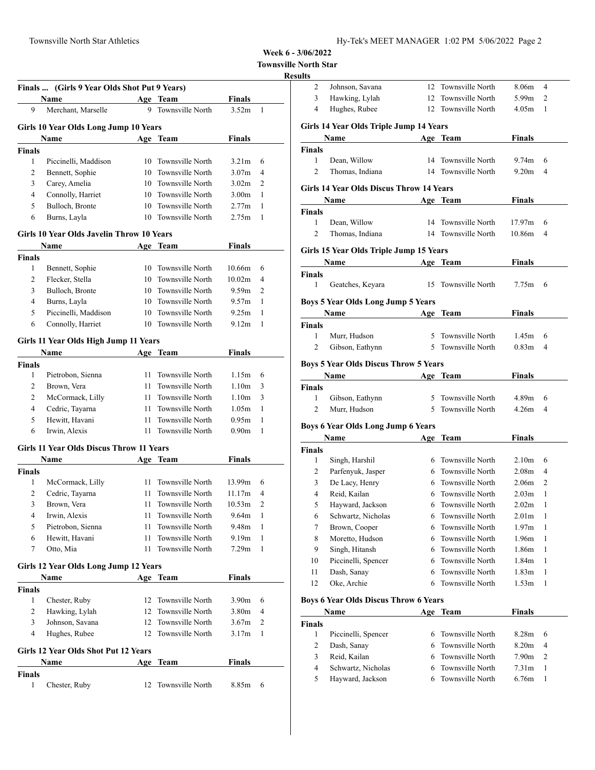|  | Hy-Tek's MEET MANAGER 1:02 PM 5/06/2022 Page 2 |  |  |  |
|--|------------------------------------------------|--|--|--|
|--|------------------------------------------------|--|--|--|

**Townsville North Star**

## **Results**

|                | Name                                      |     | Age Team                | Finals            |              |
|----------------|-------------------------------------------|-----|-------------------------|-------------------|--------------|
| 9              | Merchant, Marselle                        | 9   | Townsville North        | 3.52m             | 1            |
|                | Girls 10 Year Olds Long Jump 10 Years     |     |                         |                   |              |
|                | Name                                      |     | Age Team                | <b>Finals</b>     |              |
| Finals         |                                           |     |                         |                   |              |
| 1              | Piccinelli, Maddison                      |     | 10 Townsville North     | 3.21 <sub>m</sub> | 6            |
| 2              | Bennett, Sophie                           | 10  | Townsville North        | 3.07 <sub>m</sub> | 4            |
| 3              | Carey, Amelia                             |     | 10 Townsville North     | 3.02 <sub>m</sub> | 2            |
| $\overline{4}$ | Connolly, Harriet                         |     | 10 Townsville North     | 3.00 <sub>m</sub> | 1            |
| 5              | Bulloch, Bronte                           |     | 10 Townsville North     | 2.77m             | 1            |
| 6              | Burns, Layla                              | 10  | Townsville North        | 2.75m             | 1            |
|                | Girls 10 Year Olds Javelin Throw 10 Years |     |                         |                   |              |
|                | Name                                      |     | Age Team                | Finals            |              |
| Finals         |                                           |     |                         |                   |              |
| 1              | Bennett, Sophie                           | 10  | Townsville North        | 10.66m            | 6            |
| 2              | Flecker, Stella                           | 10  | Townsville North        | 10.02m            | 4            |
| 3              | Bulloch, Bronte                           | 10  | Townsville North        | 9.59m             | 2            |
| 4              | Burns, Layla                              | 10  | Townsville North        | 9.57m             | 1            |
| 5              | Piccinelli, Maddison                      |     | 10 Townsville North     | 9.25m             | 1            |
| 6              | Connolly, Harriet                         |     | 10 Townsville North     | 9.12 <sub>m</sub> | 1            |
|                |                                           |     |                         |                   |              |
|                | Girls 11 Year Olds High Jump 11 Years     |     |                         |                   |              |
|                | Name                                      |     | Age Team                | Finals            |              |
| <b>Finals</b>  |                                           |     |                         |                   |              |
| 1              | Pietrobon, Sienna                         | 11  | Townsville North        | 1.15m             | 6            |
| 2              | Brown, Vera                               | 11  | Townsville North        | 1.10 <sub>m</sub> | 3            |
| 2              | McCormack, Lilly                          | 11  | Townsville North        | 1.10 <sub>m</sub> | 3            |
| 4              | Cedric, Tayarna                           | 11  | Townsville North        | 1.05m             | 1            |
| 5              | Hewitt, Havani                            | 11  | Townsville North        | 0.95m             | 1            |
| 6              | Irwin, Alexis                             | 11  | Townsville North        | 0.90 <sub>m</sub> | 1            |
|                | Girls 11 Year Olds Discus Throw 11 Years  |     |                         |                   |              |
|                | Name                                      | Age | Team                    | <b>Finals</b>     |              |
| <b>Finals</b>  |                                           |     |                         |                   |              |
| 1              | McCormack, Lilly                          | 11  | Townsville North        | 13.99m            | 6            |
| 2              | Cedric, Tayarna                           | 11  | Townsville North        | 11.17m            | 4            |
| 3              | Brown, Vera                               | 11  | Townsville North        | 10.53m            | 2            |
| 4              | Irwin, Alexis                             | 11  | Townsville North        | 9.64m             | $\mathbf{1}$ |
| 5              | Pietrobon, Sienna                         | 11  | Townsville North        | 9.48m             | 1            |
| 6              | Hewitt, Havani                            | 11  | Townsville North        | 9.19 <sub>m</sub> | 1            |
| 7              | Otto, Mia                                 | 11  | <b>Townsville North</b> | 7.29m             | 1            |
|                | Girls 12 Year Olds Long Jump 12 Years     |     |                         |                   |              |
|                | Name                                      |     | Age Team                | <b>Finals</b>     |              |
| <b>Finals</b>  |                                           |     |                         |                   |              |
| 1              | Chester, Ruby                             | 12  | Townsville North        | 3.90 <sub>m</sub> | 6            |
| 2              | Hawking, Lylah                            | 12  | Townsville North        | 3.80m             | 4            |
| 3              | Johnson, Savana                           | 12  | Townsville North        | 3.67 <sub>m</sub> | 2            |
| $\overline{4}$ | Hughes, Rubee                             | 12  | Townsville North        | 3.17m             | 1            |
|                | Girls 12 Year Olds Shot Put 12 Years      |     |                         |                   |              |
|                | Name                                      | Age | Team                    | <b>Finals</b>     |              |
| <b>Finals</b>  |                                           |     |                         |                   |              |
| 1              | Chester, Ruby                             | 12  | Townsville North        | 8.85m             | 6            |
|                |                                           |     |                         |                   |              |

| աււծ                |                                              |        |                                            |                                        |        |  |
|---------------------|----------------------------------------------|--------|--------------------------------------------|----------------------------------------|--------|--|
| 2                   | Johnson, Savana                              | 12     | Townsville North                           | 8.06m                                  | 4      |  |
| 3                   | Hawking, Lylah                               | 12     | Townsville North                           | 5.99 <sub>m</sub>                      | 2      |  |
| 4                   | Hughes, Rubee                                | 12     | Townsville North                           | 4.05m                                  | 1      |  |
|                     | Girls 14 Year Olds Triple Jump 14 Years      |        |                                            |                                        |        |  |
|                     | Name                                         |        | Age Team                                   | Finals                                 |        |  |
| Finals              |                                              |        |                                            |                                        |        |  |
| 1                   | Dean, Willow                                 | 14     | Townsville North                           | 9.74m                                  | 6      |  |
| $\overline{c}$      | Thomas, Indiana                              | 14     | Townsville North                           | 9.20 <sub>m</sub>                      | 4      |  |
|                     |                                              |        |                                            |                                        |        |  |
|                     | Girls 14 Year Olds Discus Throw 14 Years     |        |                                            |                                        |        |  |
|                     | <b>Name</b>                                  |        | Age Team                                   | Finals                                 |        |  |
| Finals              |                                              |        |                                            |                                        |        |  |
| 1<br>$\overline{c}$ | Dean, Willow<br>Thomas, Indiana              |        | 14 Townsville North<br>14 Townsville North | 17.97m<br>10.86m                       | 6<br>4 |  |
|                     |                                              |        |                                            |                                        |        |  |
|                     | Girls 15 Year Olds Triple Jump 15 Years      |        |                                            |                                        |        |  |
|                     | Name                                         |        | Age Team                                   | Finals                                 |        |  |
| <b>Finals</b>       |                                              |        |                                            |                                        |        |  |
| 1                   | Geatches, Keyara                             | 15     | Townsville North                           | 7.75m                                  | 6      |  |
|                     | <b>Boys 5 Year Olds Long Jump 5 Years</b>    |        |                                            |                                        |        |  |
|                     | Name                                         |        | Age Team                                   | <b>Finals</b>                          |        |  |
| <b>Finals</b>       |                                              |        |                                            |                                        |        |  |
| 1                   | Murr, Hudson                                 | 5      | Townsville North                           | 1.45m                                  | 6      |  |
| 2                   | Gibson, Eathynn                              | 5.     | <b>Townsville North</b>                    | 0.83 <sub>m</sub>                      | 4      |  |
|                     |                                              |        |                                            |                                        |        |  |
|                     | <b>Boys 5 Year Olds Discus Throw 5 Years</b> |        |                                            |                                        |        |  |
|                     | Name                                         |        | Age Team                                   | Finals                                 |        |  |
| Finals<br>1         | Gibson, Eathynn                              | 5.     | Townsville North                           | 4.89m                                  | 6      |  |
| $\overline{c}$      | Murr, Hudson                                 | 5      | Townsville North                           | 4.26m                                  | 4      |  |
|                     |                                              |        |                                            |                                        |        |  |
|                     | <b>Boys 6 Year Olds Long Jump 6 Years</b>    |        |                                            |                                        |        |  |
|                     | Name                                         |        | Age Team                                   | <b>Finals</b>                          |        |  |
| Finals              |                                              |        |                                            |                                        |        |  |
| 1                   | Singh, Harshil                               |        | 6 Townsville North                         | 2.10 <sub>m</sub>                      | 6      |  |
| 2<br>3              | Parfenyuk, Jasper                            | 6<br>6 | Townsville North<br>Townsville North       | 2.08 <sub>m</sub><br>2.06 <sub>m</sub> | 4<br>2 |  |
| 4                   | De Lacy, Henry<br>Reid, Kailan               | 6      | Townsville North                           | 2.03m                                  | 1      |  |
| 5                   | Hayward, Jackson                             | 6      | Townsville North                           | 2.02 <sub>m</sub>                      | 1      |  |
| 6                   | Schwartz, Nicholas                           | 6      | Townsville North                           | 2.01m                                  | 1      |  |
| 7                   | Brown, Cooper                                | 6      | Townsville North                           | 1.97 <sub>m</sub>                      | 1      |  |
| 8                   | Moretto, Hudson                              | 6      | Townsville North                           | 1.96m                                  | 1      |  |
| 9                   | Singh, Hitansh                               | 6      | Townsville North                           | 1.86m                                  | 1      |  |
| 10                  | Piccinelli, Spencer                          | 6      | Townsville North                           | 1.84m                                  | 1      |  |
| 11                  | Dash, Sanay                                  | 6      | Townsville North                           | 1.83m                                  | 1      |  |
| 12                  | Oke, Archie                                  | 6      | <b>Townsville North</b>                    | 1.53m                                  | 1      |  |
|                     |                                              |        |                                            |                                        |        |  |
|                     | <b>Boys 6 Year Olds Discus Throw 6 Years</b> |        |                                            |                                        |        |  |
|                     | Name                                         |        | Age Team                                   | <b>Finals</b>                          |        |  |
| <b>Finals</b>       |                                              |        |                                            |                                        |        |  |
| 1                   | Piccinelli, Spencer                          | 6<br>6 | Townsville North                           | 8.28m                                  | 6      |  |
| 2<br>3              | Dash, Sanay                                  |        | Townsville North                           | 8.20m                                  | 4      |  |
|                     |                                              |        |                                            |                                        |        |  |
|                     | Reid, Kailan                                 | 6      | Townsville North                           | 7.90m                                  | 2      |  |
| 4<br>5              | Schwartz, Nicholas<br>Hayward, Jackson       | 6<br>6 | Townsville North<br>Townsville North       | 7.31m<br>6.76m                         | 1<br>1 |  |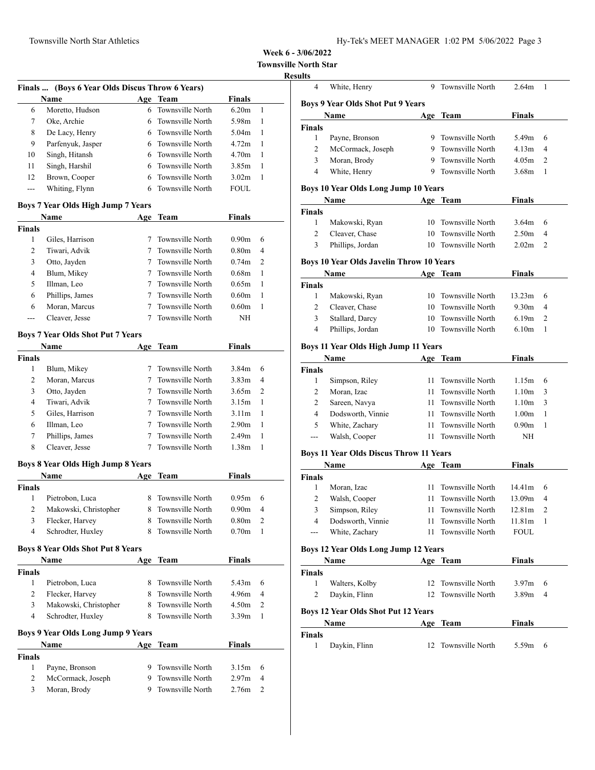**Townsville North Star**

# **Results**

|               | Finals  (Boys 6 Year Olds Discus Throw 6 Years) |                   |                         |                   |                         |
|---------------|-------------------------------------------------|-------------------|-------------------------|-------------------|-------------------------|
|               | Name                                            |                   | Age Team                | <b>Finals</b>     |                         |
| 6             | Moretto, Hudson                                 | 6                 | Townsville North        | 6.20 <sub>m</sub> | 1                       |
| 7             | Oke, Archie                                     | 6                 | Townsville North        | 5.98m             | 1                       |
| 8             | De Lacy, Henry                                  | 6                 | <b>Townsville North</b> | 5.04 <sub>m</sub> | 1                       |
| 9             | Parfenyuk, Jasper                               | 6                 | Townsville North        | 4.72m             | 1                       |
| 10            | Singh, Hitansh                                  | 6                 | Townsville North        | 4.70m             | 1                       |
| 11            | Singh, Harshil                                  | 6                 | Townsville North        | 3.85m             | 1                       |
| 12            | Brown, Cooper                                   | 6                 | Townsville North        | 3.02m             | 1                       |
| ---           | Whiting, Flynn                                  | 6                 | <b>Townsville North</b> | <b>FOUL</b>       |                         |
|               | <b>Boys 7 Year Olds High Jump 7 Years</b>       |                   |                         |                   |                         |
|               | Name                                            | Age               | Team                    | <b>Finals</b>     |                         |
| <b>Finals</b> |                                                 |                   |                         |                   |                         |
| 1             | Giles, Harrison                                 | $7^{\circ}$       | Townsville North        | 0.90m             | 6                       |
| 2             | Tiwari, Advik                                   | 7                 | Townsville North        | 0.80 <sub>m</sub> | 4                       |
| 3             | Otto, Jayden                                    | 7                 | Townsville North        | 0.74 <sub>m</sub> | 2                       |
| 4             | Blum, Mikey                                     | $7^{\circ}$       | Townsville North        | 0.68 <sub>m</sub> | 1                       |
| 5             | Illman, Leo                                     | $7^{\circ}$       | Townsville North        | 0.65m             | 1                       |
| 6             | Phillips, James                                 | $7^{\circ}$       | Townsville North        | 0.60m             | 1                       |
| 6             | Moran, Marcus                                   | 7                 | <b>Townsville North</b> | 0.60m             | 1                       |
| ---           | Cleaver, Jesse                                  | 7                 | Townsville North        | NΗ                |                         |
|               | <b>Boys 7 Year Olds Shot Put 7 Years</b>        |                   |                         |                   |                         |
|               | Name                                            |                   | Age Team                | Finals            |                         |
| <b>Finals</b> |                                                 |                   |                         |                   |                         |
| 1             | Blum, Mikey                                     | $7^{\circ}$       | Townsville North        | 3.84m             | 6                       |
| 2             | Moran, Marcus                                   | $7\phantom{.000}$ | Townsville North        | 3.83 <sub>m</sub> | 4                       |
| 3             | Otto, Jayden                                    | $7\phantom{.000}$ | Townsville North        | 3.65m             | $\overline{2}$          |
| 4             | Tiwari, Advik                                   | 7                 | Townsville North        | 3.15m             | 1                       |
| 5             | Giles, Harrison                                 | $\tau$            | Townsville North        | 3.11m             | 1                       |
| 6             | Illman, Leo                                     | $7^{\circ}$       | Townsville North        | 2.90m             | 1                       |
| 7             | Phillips, James                                 | $7^{\circ}$       | Townsville North        | 2.49m             | 1                       |
| 8             | Cleaver, Jesse                                  | 7                 | Townsville North        | 1.38m             | 1                       |
|               | <b>Boys 8 Year Olds High Jump 8 Years</b>       |                   |                         |                   |                         |
|               | Name                                            | Age               | Team                    | <b>Finals</b>     |                         |
| Finals        |                                                 |                   |                         |                   |                         |
| 1             | Pietrobon, Luca                                 | 8.                | Townsville North        | 0.95m             | 6                       |
| 2             | Makowski, Christopher                           | 8                 | Townsville North        | 0.90 <sub>m</sub> | 4                       |
| 3             | Flecker, Harvey                                 | 8                 | Townsville North        | 0.80 <sub>m</sub> | $\overline{\mathbf{c}}$ |
| 4             | Schrodter, Huxley                               | 8                 | Townsville North        | 0.70 <sub>m</sub> | 1                       |
|               |                                                 |                   |                         |                   |                         |
|               | <b>Boys 8 Year Olds Shot Put 8 Years</b>        |                   |                         |                   |                         |
| <b>Finals</b> | Name                                            | Age               | <b>Team</b>             | <b>Finals</b>     |                         |
| 1             | Pietrobon, Luca                                 | 8.                | Townsville North        | 5.43 <sub>m</sub> | 6                       |
| 2             | Flecker, Harvey                                 | 8                 | Townsville North        | 4.96m             | 4                       |
|               |                                                 |                   | Townsville North        |                   |                         |
| 3<br>4        | Makowski, Christopher                           | 8                 | Townsville North        | 4.50m             | 2                       |
|               | Schrodter, Huxley                               | 8                 |                         | 3.39m             | 1                       |
|               | Boys 9 Year Olds Long Jump 9 Years              |                   |                         |                   |                         |
|               | Name                                            |                   | Age Team                | Finals            |                         |
| Finals        |                                                 |                   |                         |                   |                         |
| 1             | Payne, Bronson                                  | 9.                | Townsville North        | 3.15m             | 6                       |
| 2             | McCormack, Joseph                               | 9.                | Townsville North        | 2.97m             | 4                       |
| 3             | Moran, Brody                                    | 9.                | Townsville North        | 2.76m             | 2                       |

| 4              | White, Henry                                    | 9  | Townsville North    | 2.64m             | 1 |
|----------------|-------------------------------------------------|----|---------------------|-------------------|---|
|                | <b>Boys 9 Year Olds Shot Put 9 Years</b>        |    |                     |                   |   |
|                | Name                                            |    | Age Team            | Finals            |   |
| Finals         |                                                 |    |                     |                   |   |
| 1              | Payne, Bronson                                  | 9  | Townsville North    | 5.49m             | 6 |
| 2              | McCormack, Joseph                               | 9  | Townsville North    | 4.13m             | 4 |
| 3              | Moran, Brody                                    | 9  | Townsville North    | 4.05m             | 2 |
| 4              | White, Henry                                    | 9  | Townsville North    | 3.68m             | 1 |
|                |                                                 |    |                     |                   |   |
|                | <b>Boys 10 Year Olds Long Jump 10 Years</b>     |    |                     |                   |   |
|                | Name                                            |    | Age Team            | Finals            |   |
| Finals<br>1    | Makowski, Ryan                                  |    | 10 Townsville North | 3.64m             | 6 |
| $\overline{c}$ | Cleaver, Chase                                  | 10 | Townsville North    | 2.50 <sub>m</sub> | 4 |
| 3              | Phillips, Jordan                                | 10 | Townsville North    | 2.02 <sub>m</sub> | 2 |
|                |                                                 |    |                     |                   |   |
|                | <b>Boys 10 Year Olds Javelin Throw 10 Years</b> |    |                     |                   |   |
|                | Name                                            |    | Age Team            | <b>Finals</b>     |   |
| <b>Finals</b>  |                                                 |    |                     |                   |   |
| 1              | Makowski, Ryan                                  | 10 | Townsville North    | 13.23m            | 6 |
| $\overline{2}$ | Cleaver, Chase                                  |    | 10 Townsville North | 9.30 <sub>m</sub> | 4 |
| 3              | Stallard, Darcy                                 | 10 | Townsville North    | 6.19 <sub>m</sub> | 2 |
| 4              | Phillips, Jordan                                | 10 | Townsville North    | 6.10 <sub>m</sub> | 1 |
|                | Boys 11 Year Olds High Jump 11 Years            |    |                     |                   |   |
|                | Name                                            |    | Age Team            | Finals            |   |
| Finals         |                                                 |    |                     |                   |   |
| 1              | Simpson, Riley                                  | 11 | Townsville North    | 1.15m             | 6 |
| 2              | Moran, Izac                                     | 11 | Townsville North    | 1.10 <sub>m</sub> | 3 |
| 2              | Sareen, Navya                                   | 11 | Townsville North    | 1.10 <sub>m</sub> | 3 |
| 4              | Dodsworth, Vinnie                               | 11 | Townsville North    | 1.00 <sub>m</sub> | 1 |
| 5              | White, Zachary                                  | 11 | Townsville North    | 0.90 <sub>m</sub> | 1 |
| ---            | Walsh, Cooper                                   | 11 | Townsville North    | ΝH                |   |
|                | <b>Boys 11 Year Olds Discus Throw 11 Years</b>  |    |                     |                   |   |
|                | Name                                            |    | Age Team            | <b>Finals</b>     |   |
| Finals         |                                                 |    |                     |                   |   |
| 1              | Moran, Izac                                     | 11 | Townsville North    | 14.41m            | 6 |
| 2              | Walsh, Cooper                                   | 11 | Townsville North    | 13.09m            | 4 |
| 3              | Simpson, Riley                                  | 11 | Townsville North    | 12.81m            | 2 |
| 4              | Dodsworth, Vinnie                               | 11 | Townsville North    | 11.81m            | 1 |
| ---            | White, Zachary                                  | 11 | Townsville North    | FOUL              |   |
|                | Boys 12 Year Olds Long Jump 12 Years            |    |                     |                   |   |
|                | Name                                            |    | Age Team            | Finals            |   |
| Finals         |                                                 |    |                     |                   |   |
| 1              | Walters, Kolby                                  | 12 | Townsville North    | 3.97m             | 6 |
| 2              | Daykin, Flinn                                   | 12 | Townsville North    | 3.89 <sub>m</sub> | 4 |
|                |                                                 |    |                     |                   |   |
|                | <b>Boys 12 Year Olds Shot Put 12 Years</b>      |    |                     |                   |   |
|                | Name                                            |    | Age Team            | Finals            |   |
| Finals         |                                                 |    |                     |                   |   |
| 1              | Daykin, Flinn                                   | 12 | Townsville North    | 5.59m             | 6 |
|                |                                                 |    |                     |                   |   |
|                |                                                 |    |                     |                   |   |
|                |                                                 |    |                     |                   |   |